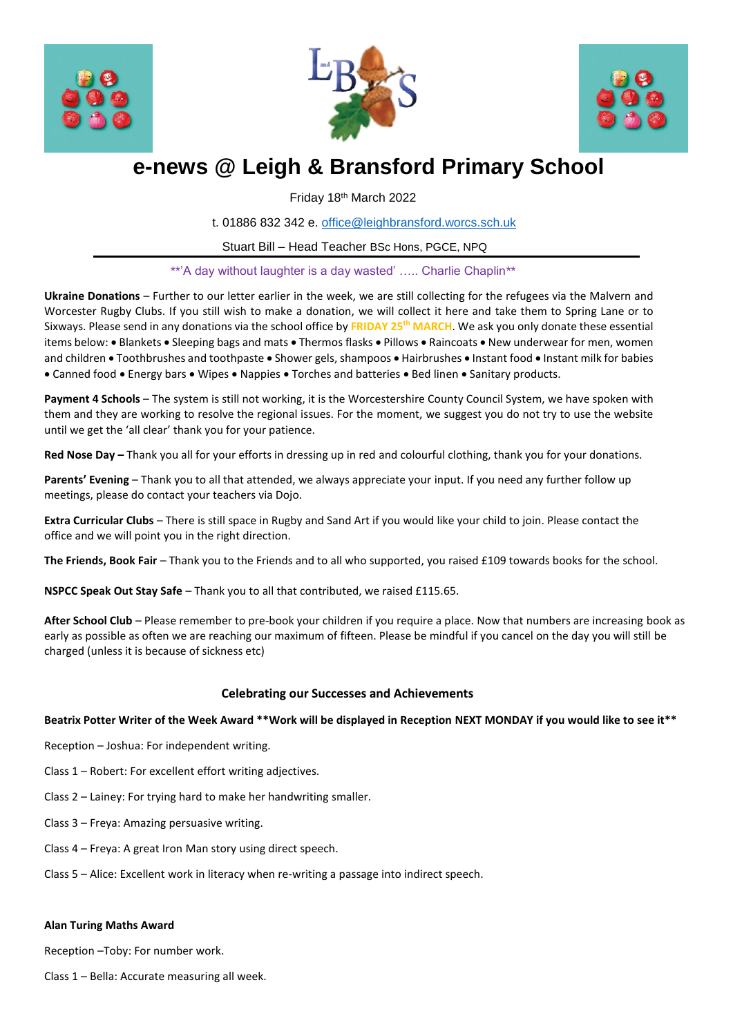





# **e-news @ Leigh & Bransford Primary School**

Friday 18th March 2022

t. 01886 832 342 e. [office@leighbransford.worcs.sch.uk](mailto:office@leighbransford.worcs.sch.uk)

Stuart Bill – Head Teacher BSc Hons, PGCE, NPQ

\*\*'A day without laughter is a day wasted' ….. Charlie Chaplin\*\*

**Ukraine Donations** – Further to our letter earlier in the week, we are still collecting for the refugees via the Malvern and Worcester Rugby Clubs. If you still wish to make a donation, we will collect it here and take them to Spring Lane or to Sixways. Please send in any donations via the school office by **FRIDAY 25th MARCH**. We ask you only donate these essential items below: . Blankets . Sleeping bags and mats . Thermos flasks . Pillows . Raincoats . New underwear for men, women and children • Toothbrushes and toothpaste • Shower gels, shampoos • Hairbrushes • Instant food • Instant milk for babies • Canned food • Energy bars • Wipes • Nappies • Torches and batteries • Bed linen • Sanitary products.

**Payment 4 Schools** – The system is still not working, it is the Worcestershire County Council System, we have spoken with them and they are working to resolve the regional issues. For the moment, we suggest you do not try to use the website until we get the 'all clear' thank you for your patience.

**Red Nose Day –** Thank you all for your efforts in dressing up in red and colourful clothing, thank you for your donations.

**Parents' Evening** – Thank you to all that attended, we always appreciate your input. If you need any further follow up meetings, please do contact your teachers via Dojo.

**Extra Curricular Clubs** – There is still space in Rugby and Sand Art if you would like your child to join. Please contact the office and we will point you in the right direction.

**The Friends, Book Fair** – Thank you to the Friends and to all who supported, you raised £109 towards books for the school.

**NSPCC Speak Out Stay Safe** – Thank you to all that contributed, we raised £115.65.

**After School Club** – Please remember to pre-book your children if you require a place. Now that numbers are increasing book as early as possible as often we are reaching our maximum of fifteen. Please be mindful if you cancel on the day you will still be charged (unless it is because of sickness etc)

# **Celebrating our Successes and Achievements**

**Beatrix Potter Writer of the Week Award \*\*Work will be displayed in Reception NEXT MONDAY if you would like to see it\*\***

- Reception Joshua: For independent writing.
- Class 1 Robert: For excellent effort writing adjectives.
- Class 2 Lainey: For trying hard to make her handwriting smaller.
- Class 3 Freya: Amazing persuasive writing.
- Class 4 Freya: A great Iron Man story using direct speech.
- Class 5 Alice: Excellent work in literacy when re-writing a passage into indirect speech.

## **Alan Turing Maths Award**

Reception –Toby: For number work.

Class 1 – Bella: Accurate measuring all week.